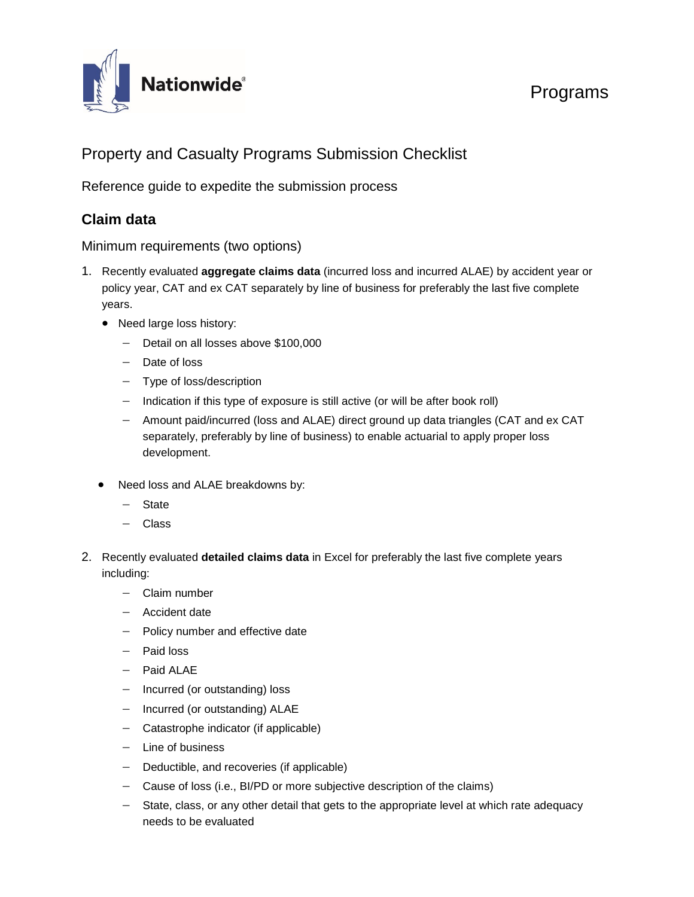

## Programs

## Property and Casualty Programs Submission Checklist

Reference guide to expedite the submission process

## **Claim data**

Minimum requirements (two options)

- 1. Recently evaluated **aggregate claims data** (incurred loss and incurred ALAE) by accident year or policy year, CAT and ex CAT separately by line of business for preferably the last five complete years.
	- Need large loss history:
		- − Detail on all losses above \$100,000
		- − Date of loss
		- − Type of loss/description
		- − Indication if this type of exposure is still active (or will be after book roll)
		- − Amount paid/incurred (loss and ALAE) direct ground up data triangles (CAT and ex CAT separately, preferably by line of business) to enable actuarial to apply proper loss development.
	- Need loss and ALAE breakdowns by:
		- − State
		- − Class
- 2. Recently evaluated **detailed claims data** in Excel for preferably the last five complete years including:
	- − Claim number
	- − Accident date
	- − Policy number and effective date
	- − Paid loss
	- − Paid ALAE
	- − Incurred (or outstanding) loss
	- − Incurred (or outstanding) ALAE
	- − Catastrophe indicator (if applicable)
	- − Line of business
	- − Deductible, and recoveries (if applicable)
	- − Cause of loss (i.e., BI/PD or more subjective description of the claims)
	- − State, class, or any other detail that gets to the appropriate level at which rate adequacy needs to be evaluated